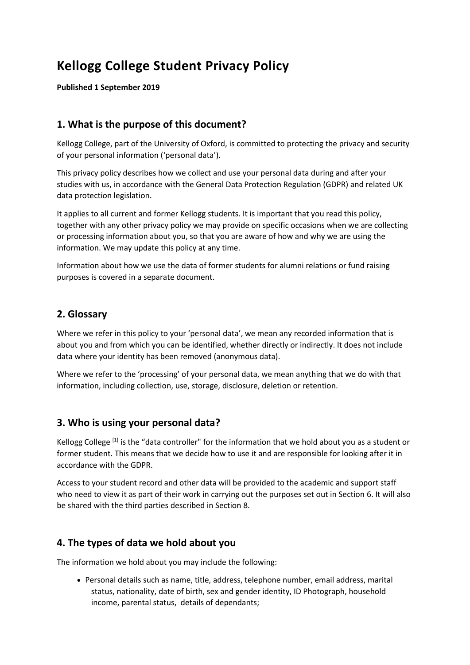# **Kellogg College Student Privacy Policy**

**Published 1 September 2019**

# **1. What is the purpose of this document?**

Kellogg College, part of the University of Oxford, is committed to protecting the privacy and security of your personal information ('personal data').

This privacy policy describes how we collect and use your personal data during and after your studies with us, in accordance with the General Data Protection Regulation (GDPR) and related UK data protection legislation.

It applies to all current and former Kellogg students. It is important that you read this policy, together with any other privacy policy we may provide on specific occasions when we are collecting or processing information about you, so that you are aware of how and why we are using the information. We may update this policy at any time.

Information about how we use the data of former students for alumni relations or fund raising purposes is covered in a separate document.

### **2. Glossary**

Where we refer in this policy to your 'personal data', we mean any recorded information that is about you and from which you can be identified, whether directly or indirectly. It does not include data where your identity has been removed (anonymous data).

Where we refer to the 'processing' of your personal data, we mean anything that we do with that information, including collection, use, storage, disclosure, deletion or retention.

## **3. Who is using your personal data?**

Kellogg College<sup>[1]</sup> is the "data controller" for the information that we hold about you as a student or former student. This means that we decide how to use it and are responsible for looking after it in accordance with the GDPR.

Access to your student record and other data will be provided to the academic and support staff who need to view it as part of their work in carrying out the purposes set out in Section 6. It will also be shared with the third parties described in Section 8.

## **4. The types of data we hold about you**

The information we hold about you may include the following:

 Personal details such as name, title, address, telephone number, email address, marital status, nationality, date of birth, sex and gender identity, ID Photograph, household income, parental status, details of dependants;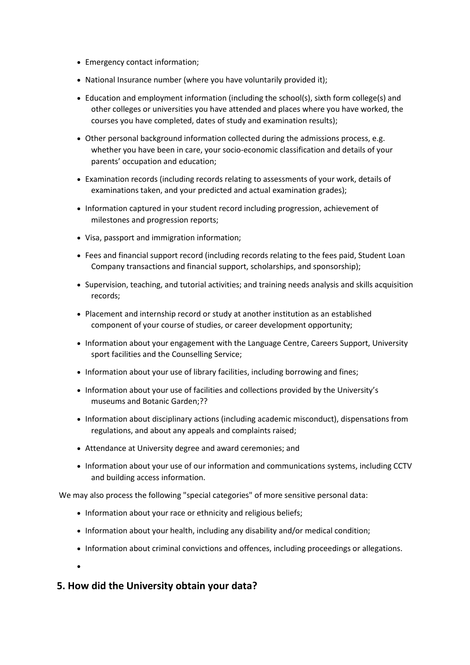- Emergency contact information;
- National Insurance number (where you have voluntarily provided it);
- Education and employment information (including the school(s), sixth form college(s) and other colleges or universities you have attended and places where you have worked, the courses you have completed, dates of study and examination results);
- Other personal background information collected during the admissions process, e.g. whether you have been in care, your socio-economic classification and details of your parents' occupation and education;
- Examination records (including records relating to assessments of your work, details of examinations taken, and your predicted and actual examination grades);
- Information captured in your student record including progression, achievement of milestones and progression reports;
- Visa, passport and immigration information;
- Fees and financial support record (including records relating to the fees paid, Student Loan Company transactions and financial support, scholarships, and sponsorship);
- Supervision, teaching, and tutorial activities; and training needs analysis and skills acquisition records;
- Placement and internship record or study at another institution as an established component of your course of studies, or career development opportunity;
- Information about your engagement with the Language Centre, Careers Support, University sport facilities and the Counselling Service;
- Information about your use of library facilities, including borrowing and fines;
- Information about your use of facilities and collections provided by the University's museums and Botanic Garden;??
- Information about disciplinary actions (including academic misconduct), dispensations from regulations, and about any appeals and complaints raised;
- Attendance at University degree and award ceremonies; and
- Information about your use of our information and communications systems, including CCTV and building access information.

We may also process the following "special categories" of more sensitive personal data:

- Information about your race or ethnicity and religious beliefs;
- Information about your health, including any disability and/or medical condition;
- Information about criminal convictions and offences, including proceedings or allegations.

 $\bullet$ 

## **5. How did the University obtain your data?**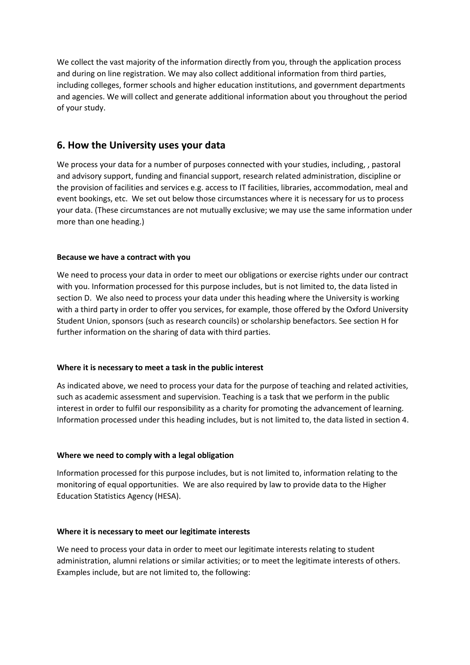We collect the vast majority of the information directly from you, through the application process and during on line registration. We may also collect additional information from third parties, including colleges, former schools and higher education institutions, and government departments and agencies. We will collect and generate additional information about you throughout the period of your study.

## **6. How the University uses your data**

We process your data for a number of purposes connected with your studies, including, , pastoral and advisory support, funding and financial support, research related administration, discipline or the provision of facilities and services e.g. access to IT facilities, libraries, accommodation, meal and event bookings, etc. We set out below those circumstances where it is necessary for us to process your data. (These circumstances are not mutually exclusive; we may use the same information under more than one heading.)

#### **Because we have a contract with you**

We need to process your data in order to meet our obligations or exercise rights under our contract with you. Information processed for this purpose includes, but is not limited to, the data listed in section D. We also need to process your data under this heading where the University is working with a third party in order to offer you services, for example, those offered by the Oxford University Student Union, sponsors (such as research councils) or scholarship benefactors. See section H for further information on the sharing of data with third parties.

#### **Where it is necessary to meet a task in the public interest**

As indicated above, we need to process your data for the purpose of teaching and related activities, such as academic assessment and supervision. Teaching is a task that we perform in the public interest in order to fulfil our responsibility as a charity for promoting the advancement of learning. Information processed under this heading includes, but is not limited to, the data listed in section 4.

#### **Where we need to comply with a legal obligation**

Information processed for this purpose includes, but is not limited to, information relating to the monitoring of equal opportunities. We are also required by law to provide data to the Higher Education Statistics Agency (HESA).

#### **Where it is necessary to meet our legitimate interests**

We need to process your data in order to meet our legitimate interests relating to student administration, alumni relations or similar activities; or to meet the legitimate interests of others. Examples include, but are not limited to, the following: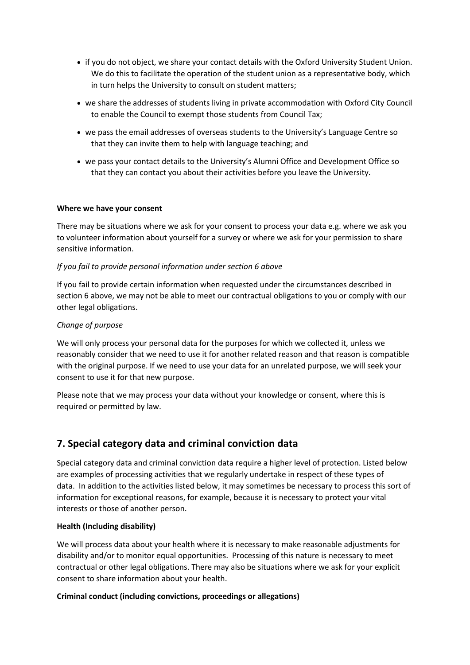- if you do not object, we share your contact details with the Oxford University Student Union. We do this to facilitate the operation of the student union as a representative body, which in turn helps the University to consult on student matters;
- we share the addresses of students living in private accommodation with Oxford City Council to enable the Council to exempt those students from Council Tax;
- we pass the email addresses of overseas students to the University's Language Centre so that they can invite them to help with language teaching; and
- we pass your contact details to the University's Alumni Office and Development Office so that they can contact you about their activities before you leave the University.

#### **Where we have your consent**

There may be situations where we ask for your consent to process your data e.g. where we ask you to volunteer information about yourself for a survey or where we ask for your permission to share sensitive information.

#### *If you fail to provide personal information under section 6 above*

If you fail to provide certain information when requested under the circumstances described in section 6 above, we may not be able to meet our contractual obligations to you or comply with our other legal obligations.

#### *Change of purpose*

We will only process your personal data for the purposes for which we collected it, unless we reasonably consider that we need to use it for another related reason and that reason is compatible with the original purpose. If we need to use your data for an unrelated purpose, we will seek your consent to use it for that new purpose.

Please note that we may process your data without your knowledge or consent, where this is required or permitted by law.

# **7. Special category data and criminal conviction data**

Special category data and criminal conviction data require a higher level of protection. Listed below are examples of processing activities that we regularly undertake in respect of these types of data. In addition to the activities listed below, it may sometimes be necessary to process this sort of information for exceptional reasons, for example, because it is necessary to protect your vital interests or those of another person.

#### **Health (Including disability)**

We will process data about your health where it is necessary to make reasonable adjustments for disability and/or to monitor equal opportunities. Processing of this nature is necessary to meet contractual or other legal obligations. There may also be situations where we ask for your explicit consent to share information about your health.

#### **Criminal conduct (including convictions, proceedings or allegations)**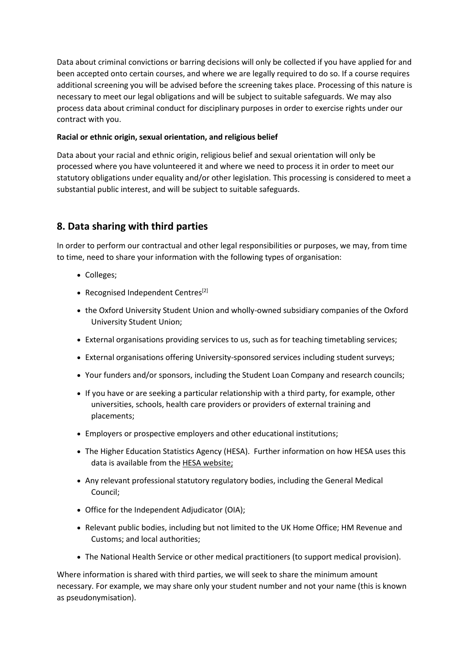Data about criminal convictions or barring decisions will only be collected if you have applied for and been accepted onto certain courses, and where we are legally required to do so. If a course requires additional screening you will be advised before the screening takes place. Processing of this nature is necessary to meet our legal obligations and will be subject to suitable safeguards. We may also process data about criminal conduct for disciplinary purposes in order to exercise rights under our contract with you.

#### **Racial or ethnic origin, sexual orientation, and religious belief**

Data about your racial and ethnic origin, religious belief and sexual orientation will only be processed where you have volunteered it and where we need to process it in order to meet our statutory obligations under equality and/or other legislation. This processing is considered to meet a substantial public interest, and will be subject to suitable safeguards.

# **8. Data sharing with third parties**

In order to perform our contractual and other legal responsibilities or purposes, we may, from time to time, need to share your information with the following types of organisation:

- Colleges;
- Recognised Independent Centres<sup>[2]</sup>
- the Oxford University Student Union and wholly-owned subsidiary companies of the Oxford University Student Union;
- External organisations providing services to us, such as for teaching timetabling services;
- External organisations offering University-sponsored services including student surveys;
- Your funders and/or sponsors, including the Student Loan Company and research councils;
- If you have or are seeking a particular relationship with a third party, for example, other universities, schools, health care providers or providers of external training and placements;
- Employers or prospective employers and other educational institutions;
- The Higher Education Statistics Agency (HESA). Further information on how HESA uses this data is available from the [HESA website;](http://www.hesa.ac.uk/index.php?option=com_content&task=view&id=141&Itemid=171)
- Any relevant professional statutory regulatory bodies, including the General Medical Council;
- Office for the Independent Adjudicator (OIA);
- Relevant public bodies, including but not limited to the UK Home Office; HM Revenue and Customs; and local authorities;
- The National Health Service or other medical practitioners (to support medical provision).

Where information is shared with third parties, we will seek to share the minimum amount necessary. For example, we may share only your student number and not your name (this is known as pseudonymisation).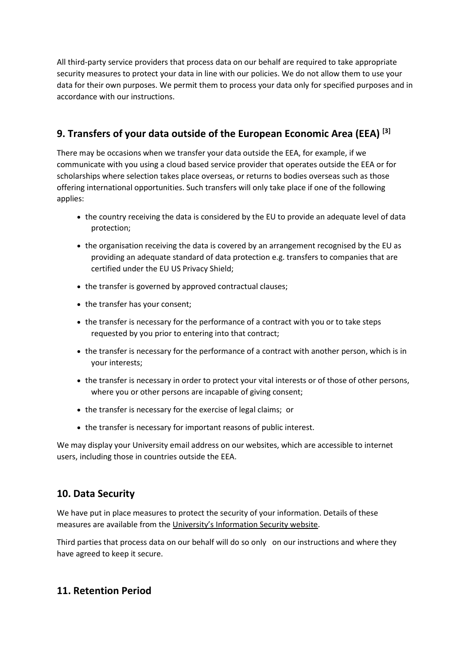All third-party service providers that process data on our behalf are required to take appropriate security measures to protect your data in line with our policies. We do not allow them to use your data for their own purposes. We permit them to process your data only for specified purposes and in accordance with our instructions.

# **9. Transfers of your data outside of the European Economic Area (EEA) [3]**

There may be occasions when we transfer your data outside the EEA, for example, if we communicate with you using a cloud based service provider that operates outside the EEA or for scholarships where selection takes place overseas, or returns to bodies overseas such as those offering international opportunities. Such transfers will only take place if one of the following applies:

- the country receiving the data is considered by the EU to provide an adequate level of data protection;
- the organisation receiving the data is covered by an arrangement recognised by the EU as providing an adequate standard of data protection e.g. transfers to companies that are certified under the EU US Privacy Shield;
- the transfer is governed by approved contractual clauses;
- the transfer has your consent;
- the transfer is necessary for the performance of a contract with you or to take steps requested by you prior to entering into that contract;
- the transfer is necessary for the performance of a contract with another person, which is in your interests;
- the transfer is necessary in order to protect your vital interests or of those of other persons, where you or other persons are incapable of giving consent;
- the transfer is necessary for the exercise of legal claims; or
- the transfer is necessary for important reasons of public interest.

We may display your University email address on our websites, which are accessible to internet users, including those in countries outside the EEA.

# **10. Data Security**

We have put in place measures to protect the security of your information. Details of these measures are available from the [University's Information Security website](https://www.infosec.ox.ac.uk/guidance-policy).

Third parties that process data on our behalf will do so only on our instructions and where they have agreed to keep it secure.

# **11. Retention Period**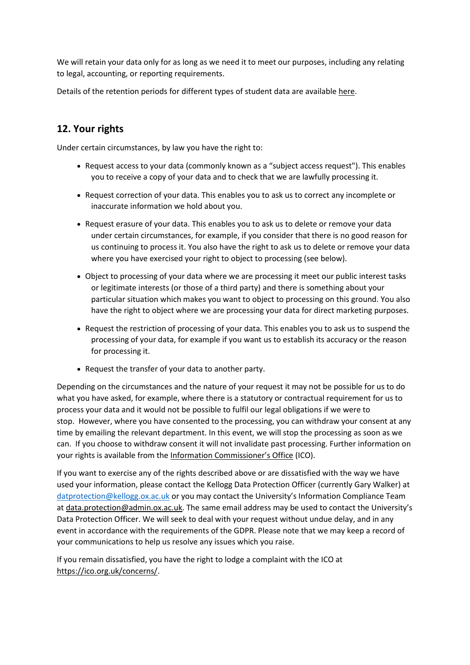We will retain your data only for as long as we need it to meet our purposes, including any relating to legal, accounting, or reporting requirements.

Details of the retention periods for different types of student data are available [here.](https://www1.admin.ox.ac.uk/councilsec/compliance/dataprotection/retentionofstudentrecords/)

# **12. Your rights**

Under certain circumstances, by law you have the right to:

- Request access to your data (commonly known as a "subject access request"). This enables you to receive a copy of your data and to check that we are lawfully processing it.
- Request correction of your data. This enables you to ask us to correct any incomplete or inaccurate information we hold about you.
- Request erasure of your data. This enables you to ask us to delete or remove your data under certain circumstances, for example, if you consider that there is no good reason for us continuing to process it. You also have the right to ask us to delete or remove your data where you have exercised your right to object to processing (see below).
- Object to processing of your data where we are processing it meet our public interest tasks or legitimate interests (or those of a third party) and there is something about your particular situation which makes you want to object to processing on this ground. You also have the right to object where we are processing your data for direct marketing purposes.
- Request the restriction of processing of your data. This enables you to ask us to suspend the processing of your data, for example if you want us to establish its accuracy or the reason for processing it.
- Request the transfer of your data to another party.

Depending on the circumstances and the nature of your request it may not be possible for us to do what you have asked, for example, where there is a statutory or contractual requirement for us to process your data and it would not be possible to fulfil our legal obligations if we were to stop. However, where you have consented to the processing, you can withdraw your consent at any time by emailing the relevant department. In this event, we will stop the processing as soon as we can. If you choose to withdraw consent it will not invalidate past processing. Further information on your rights is available from the [Information Commissioner's Office](https://ico.org.uk/) (ICO).

If you want to exercise any of the rights described above or are dissatisfied with the way we have used your information, please contact the Kellogg Data Protection Officer (currently Gary Walker) at [datprotection@kellogg.ox.ac.uk](mailto:datprotection@kellogg.ox.ac.uk) or you may contact the University's Information Compliance Team a[t data.protection@admin.ox.ac.uk](mailto:data.protection@admin.ox.ac.uk). The same email address may be used to contact the University's Data Protection Officer. We will seek to deal with your request without undue delay, and in any event in accordance with the requirements of the GDPR. Please note that we may keep a record of your communications to help us resolve any issues which you raise.

If you remain dissatisfied, you have the right to lodge a complaint with the ICO at [https://ico.org.uk/concerns/.](https://ico.org.uk/concerns/)